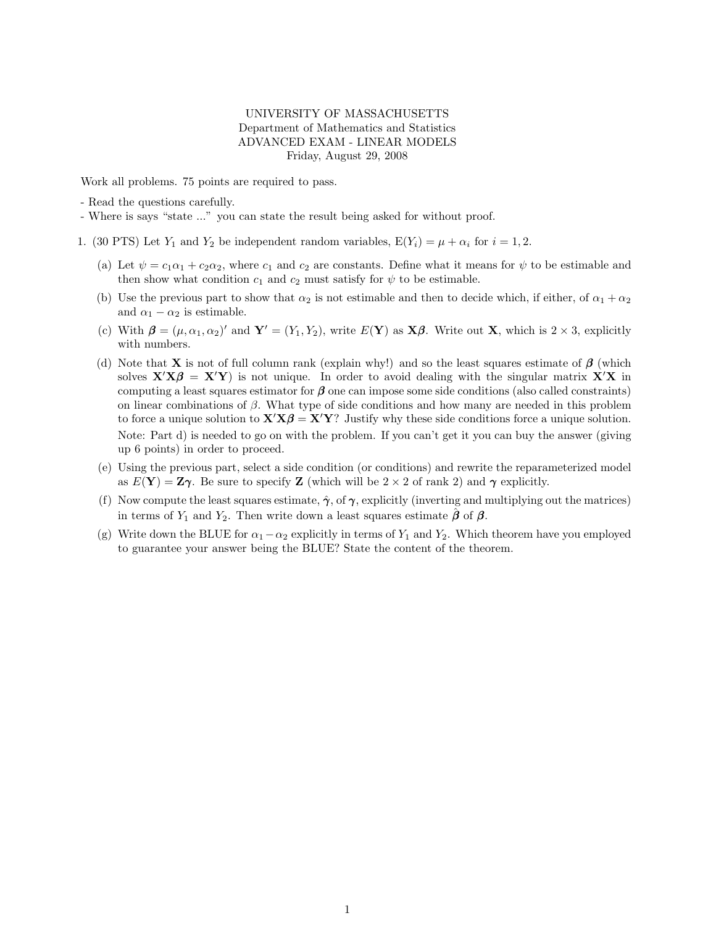## UNIVERSITY OF MASSACHUSETTS Department of Mathematics and Statistics ADVANCED EXAM - LINEAR MODELS Friday, August 29, 2008

Work all problems. 75 points are required to pass.

- Read the questions carefully.

- Where is says "state ..." you can state the result being asked for without proof.

- 1. (30 PTS) Let  $Y_1$  and  $Y_2$  be independent random variables,  $E(Y_i) = \mu + \alpha_i$  for  $i = 1, 2$ .
	- (a) Let  $\psi = c_1 \alpha_1 + c_2 \alpha_2$ , where  $c_1$  and  $c_2$  are constants. Define what it means for  $\psi$  to be estimable and then show what condition  $c_1$  and  $c_2$  must satisfy for  $\psi$  to be estimable.
	- (b) Use the previous part to show that  $\alpha_2$  is not estimable and then to decide which, if either, of  $\alpha_1 + \alpha_2$ and  $\alpha_1 - \alpha_2$  is estimable.
	- (c) With  $\boldsymbol{\beta} = (\mu, \alpha_1, \alpha_2)'$  and  $\mathbf{Y}' = (Y_1, Y_2)$ , write  $E(\mathbf{Y})$  as  $\mathbf{X}\boldsymbol{\beta}$ . Write out  $\mathbf{X}$ , which is  $2 \times 3$ , explicitly with numbers.
	- (d) Note that **X** is not of full column rank (explain why!) and so the least squares estimate of  $\beta$  (which solves  $X'X\beta = X'Y$ ) is not unique. In order to avoid dealing with the singular matrix X'X in computing a least squares estimator for  $\beta$  one can impose some side conditions (also called constraints) on linear combinations of  $\beta$ . What type of side conditions and how many are needed in this problem to force a unique solution to  $X'X\beta = X'Y$ ? Justify why these side conditions force a unique solution. Note: Part d) is needed to go on with the problem. If you can't get it you can buy the answer (giving up 6 points) in order to proceed.
	- (e) Using the previous part, select a side condition (or conditions) and rewrite the reparameterized model as  $E(Y) = Z\gamma$ . Be sure to specify Z (which will be  $2 \times 2$  of rank 2) and  $\gamma$  explicitly.
	- (f) Now compute the least squares estimate,  $\hat{\gamma}$ , of  $\gamma$ , explicitly (inverting and multiplying out the matrices) in terms of  $Y_1$  and  $Y_2$ . Then write down a least squares estimate  $\hat{\boldsymbol{\beta}}$  of  $\boldsymbol{\beta}$ .
	- (g) Write down the BLUE for  $\alpha_1-\alpha_2$  explicitly in terms of  $Y_1$  and  $Y_2$ . Which theorem have you employed to guarantee your answer being the BLUE? State the content of the theorem.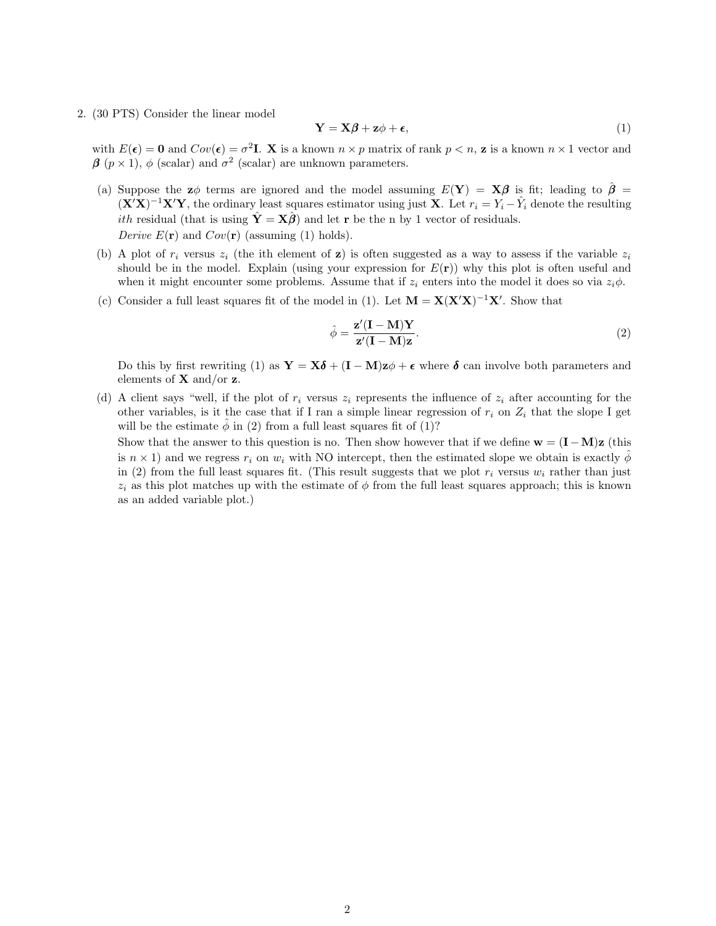2. (30 PTS) Consider the linear model

$$
\mathbf{Y} = \mathbf{X}\boldsymbol{\beta} + \mathbf{z}\boldsymbol{\phi} + \boldsymbol{\epsilon},\tag{1}
$$

with  $E(\epsilon) = 0$  and  $Cov(\epsilon) = \sigma^2 I$ . X is a known  $n \times p$  matrix of rank  $p < n$ , z is a known  $n \times 1$  vector and  $\beta$  ( $p \times 1$ ),  $\phi$  (scalar) and  $\sigma^2$  (scalar) are unknown parameters.

- (a) Suppose the  $z\phi$  terms are ignored and the model assuming  $E(Y) = X\beta$  is fit; leading to  $\hat{\beta} =$  $(X'X)^{-1}X'Y$ , the ordinary least squares estimator using just X. Let  $r_i = Y_i - \hat{Y}_i$  denote the resulting *ith* residual (that is using  $\hat{\mathbf{Y}} = \mathbf{X}\hat{\boldsymbol{\beta}}$ ) and let **r** be the n by 1 vector of residuals. Derive  $E(\mathbf{r})$  and  $Cov(\mathbf{r})$  (assuming (1) holds).
- (b) A plot of  $r_i$  versus  $z_i$  (the ith element of z) is often suggested as a way to assess if the variable  $z_i$ should be in the model. Explain (using your expression for  $E(\mathbf{r})$ ) why this plot is often useful and when it might encounter some problems. Assume that if  $z_i$  enters into the model it does so via  $z_i\phi$ .
- (c) Consider a full least squares fit of the model in (1). Let  $M = X(X'X)^{-1}X'$ . Show that

$$
\hat{\phi} = \frac{\mathbf{z}'(\mathbf{I} - \mathbf{M})\mathbf{Y}}{\mathbf{z}'(\mathbf{I} - \mathbf{M})\mathbf{z}}.\tag{2}
$$

Do this by first rewriting (1) as  $\mathbf{Y} = \mathbf{X}\boldsymbol{\delta} + (\mathbf{I} - \mathbf{M})\mathbf{z}\phi + \boldsymbol{\epsilon}$  where  $\boldsymbol{\delta}$  can involve both parameters and elements of  $X$  and/or  $z$ .

(d) A client says "well, if the plot of  $r_i$  versus  $z_i$  represents the influence of  $z_i$  after accounting for the other variables, is it the case that if I ran a simple linear regression of  $r_i$  on  $Z_i$  that the slope I get will be the estimate  $\ddot{\phi}$  in (2) from a full least squares fit of (1)?

Show that the answer to this question is no. Then show however that if we define  $\mathbf{w} = (\mathbf{I} - \mathbf{M})\mathbf{z}$  (this is  $n \times 1$ ) and we regress  $r_i$  on  $w_i$  with NO intercept, then the estimated slope we obtain is exactly  $\phi$ in (2) from the full least squares fit. (This result suggests that we plot  $r_i$  versus  $w_i$  rather than just  $z_i$  as this plot matches up with the estimate of  $\phi$  from the full least squares approach; this is known as an added variable plot.)